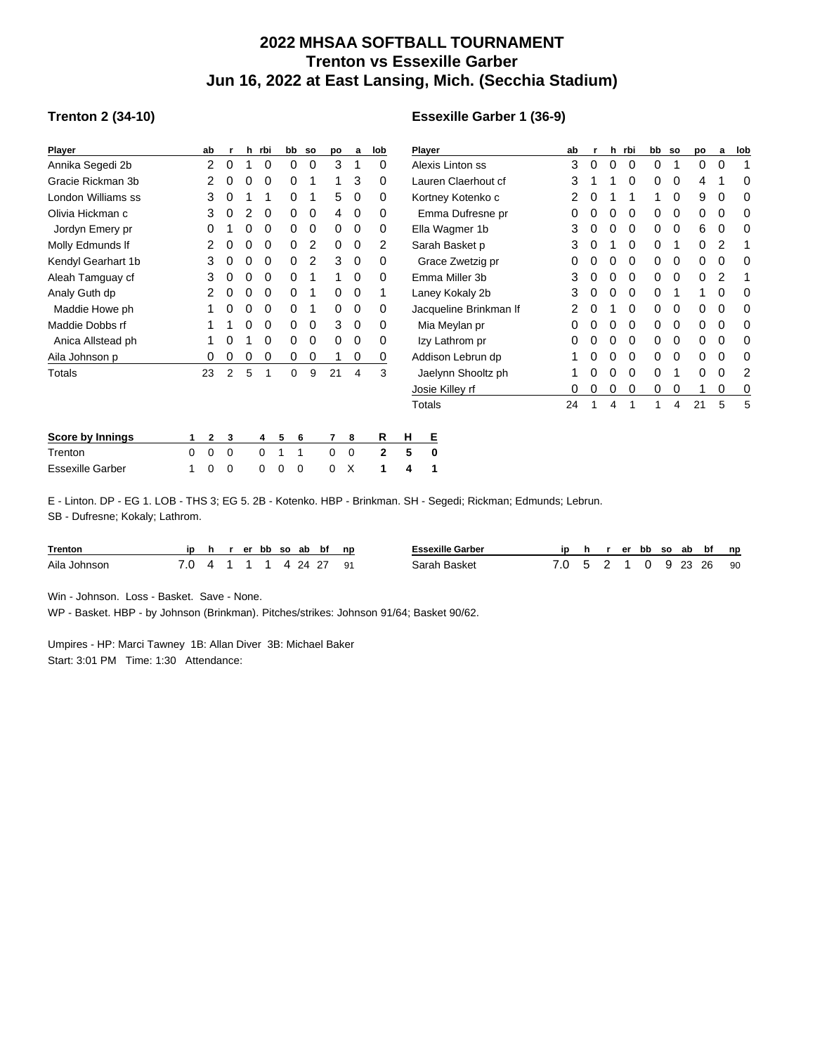## **2022 MHSAA SOFTBALL TOURNAMENT Trenton vs Essexille Garber Jun 16, 2022 at East Lansing, Mich. (Secchia Stadium)**

## **Trenton 2 (34-10)**

## **Essexille Garber 1 (36-9)**

| <b>Player</b>           |   | ab |             | h | rbi      | bb | so | po       | a           | lob          |               | Player                 | ab |   | h | rbi |   | bb so    | po | a | lob |
|-------------------------|---|----|-------------|---|----------|----|----|----------|-------------|--------------|---------------|------------------------|----|---|---|-----|---|----------|----|---|-----|
| Annika Segedi 2b        |   | 2  | 0           |   | $\Omega$ | 0  | 0  | 3        |             | 0            |               | Alexis Linton ss       | 3  | 0 | 0 | 0   | 0 |          | 0  | 0 |     |
| Gracie Rickman 3b       |   |    | 0           |   | 0        | 0  |    |          | 3           | 0            |               | Lauren Claerhout cf    | 3  |   |   | 0   | 0 | 0        | 4  |   | 0   |
| London Williams ss      |   | 3  | 0           |   |          | 0  |    | 5        | 0           | 0            |               | Kortney Kotenko c      | 2  | 0 |   |     |   | 0        | 9  | 0 | 0   |
| Olivia Hickman c        |   | 3  | 0           |   | 0        | 0  | 0  | 4        | 0           | 0            |               | Emma Dufresne pr       | 0  | 0 | 0 | 0   | 0 | 0        | 0  | 0 | 0   |
| Jordyn Emery pr         |   | 0  |             |   | 0        | 0  | 0  | 0        | 0           | 0            |               | Ella Wagmer 1b         | 3  | 0 | 0 | 0   | 0 | 0        | 6  | 0 | 0   |
| Molly Edmunds If        |   |    | 0           | 0 | 0        | 0  | 2  | $\Omega$ | $\Omega$    | 2            |               | Sarah Basket p         | 3  | 0 |   | 0   | 0 |          | 0  | 2 |     |
| Kendyl Gearhart 1b      |   | 3  |             |   | 0        | 0  | 2  | 3        | 0           | 0            |               | Grace Zwetzig pr       |    |   | 0 | 0   | 0 | 0        | 0  | 0 | 0   |
| Aleah Tamguay cf        |   | 3  | 0           |   | 0        | 0  |    |          | $\Omega$    | 0            |               | Emma Miller 3b         | 3  | 0 | 0 | 0   | 0 | 0        | 0  | 2 |     |
| Analy Guth dp           |   |    | 0           | 0 | 0        | 0  | 1  | $\Omega$ | 0           |              |               | Laney Kokaly 2b        |    | 0 | 0 | 0   | 0 |          |    | 0 | 0   |
| Maddie Howe ph          |   |    | 0           |   | 0        | 0  |    | 0        | 0           | 0            |               | Jacqueline Brinkman If |    |   |   | 0   | 0 | 0        | 0  | 0 | 0   |
| Maddie Dobbs rf         |   |    |             | 0 | 0        | 0  | 0  | 3        | $\Omega$    | 0            | Mia Meylan pr |                        | 0  |   | 0 | 0   | 0 | $\Omega$ | 0  | 0 | 0   |
| Anica Allstead ph       |   |    |             |   | 0        | 0  | 0  | $\Omega$ | 0           | 0            |               | Izy Lathrom pr         | 0  |   | 0 | 0   | 0 | 0        | 0  | 0 | 0   |
| Aila Johnson p          |   | 0  | 0           | 0 | 0        | 0  | 0  |          | 0           | 0            |               | Addison Lebrun dp      |    | 0 | 0 | 0   | 0 | 0        | 0  | 0 | 0   |
| Totals                  |   | 23 | 2           | 5 |          | 0  | 9  | 21       | 4           | 3            |               | Jaelynn Shooltz ph     |    | 0 | 0 | 0   | 0 |          | 0  | 0 |     |
|                         |   |    |             |   |          |    |    |          |             |              |               | Josie Killey rf        | 0  |   | 0 | 0   | 0 | 0        |    | 0 | 0   |
|                         |   |    |             |   |          |    |    |          |             |              |               | Totals                 | 24 |   | 4 |     |   | 4        | 21 | 5 | 5   |
| <b>Score by Innings</b> |   | 2  | 3           |   | 4        | 5  | 6  |          | 8           | R            | н             | Е                      |    |   |   |     |   |          |    |   |     |
| Trenton                 | 0 | 0  | $\mathbf 0$ |   | $\Omega$ |    | 1  | 0        | $\mathbf 0$ | $\mathbf{2}$ | 5             | 0                      |    |   |   |     |   |          |    |   |     |
| <b>Essexille Garber</b> |   | 0  | 0           |   | 0        | 0  | 0  | 0        | х           |              | 4             |                        |    |   |   |     |   |          |    |   |     |

E - Linton. DP - EG 1. LOB - THS 3; EG 5. 2B - Kotenko. HBP - Brinkman. SH - Segedi; Rickman; Edmunds; Lebrun. SB - Dufresne; Kokaly; Lathrom.

| <b>Trenton</b> |           |  |  | erbb so ab bf np: |      | Essexille Garber | in | h. |  | er bb so ab bf |  |           | n p |
|----------------|-----------|--|--|-------------------|------|------------------|----|----|--|----------------|--|-----------|-----|
| Aila Johnson   | $\Lambda$ |  |  | 1 1 4 24 27       | - Q1 | Sarah Basket     |    |    |  |                |  | 0 9 23 26 | 90  |

Win - Johnson. Loss - Basket. Save - None.

WP - Basket. HBP - by Johnson (Brinkman). Pitches/strikes: Johnson 91/64; Basket 90/62.

Umpires - HP: Marci Tawney 1B: Allan Diver 3B: Michael Baker Start: 3:01 PM Time: 1:30 Attendance: